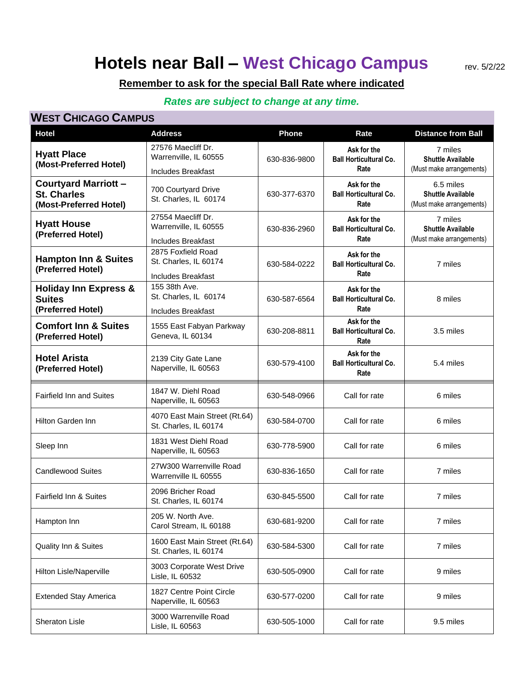# **Hotels near Ball – West Chicago Campus**

rev. 5/2/22

### **Remember to ask for the special Ball Rate where indicated**

#### *Rates are subject to change at any time.*

#### **WEST CHICAGO CAMPUS**

| Hotel                                                                       | <b>Address</b>                                                           | <b>Phone</b> | Rate                                                 | <b>Distance from Ball</b>                                         |
|-----------------------------------------------------------------------------|--------------------------------------------------------------------------|--------------|------------------------------------------------------|-------------------------------------------------------------------|
| <b>Hyatt Place</b><br>(Most-Preferred Hotel)                                | 27576 Maecliff Dr.<br>Warrenville, IL 60555<br><b>Includes Breakfast</b> | 630-836-9800 | Ask for the<br><b>Ball Horticultural Co.</b><br>Rate | 7 miles<br><b>Shuttle Available</b><br>(Must make arrangements)   |
| <b>Courtyard Marriott -</b><br><b>St. Charles</b><br>(Most-Preferred Hotel) | 700 Courtyard Drive<br>St. Charles, IL 60174                             | 630-377-6370 | Ask for the<br><b>Ball Horticultural Co.</b><br>Rate | 6.5 miles<br><b>Shuttle Available</b><br>(Must make arrangements) |
| <b>Hyatt House</b><br>(Preferred Hotel)                                     | 27554 Maecliff Dr.<br>Warrenville, IL 60555<br><b>Includes Breakfast</b> | 630-836-2960 | Ask for the<br><b>Ball Horticultural Co.</b><br>Rate | 7 miles<br><b>Shuttle Available</b><br>(Must make arrangements)   |
| <b>Hampton Inn &amp; Suites</b><br>(Preferred Hotel)                        | 2875 Foxfield Road<br>St. Charles, IL 60174<br><b>Includes Breakfast</b> | 630-584-0222 | Ask for the<br><b>Ball Horticultural Co.</b><br>Rate | 7 miles                                                           |
| <b>Holiday Inn Express &amp;</b><br><b>Suites</b><br>(Preferred Hotel)      | 155 38th Ave.<br>St. Charles, IL 60174<br><b>Includes Breakfast</b>      | 630-587-6564 | Ask for the<br><b>Ball Horticultural Co.</b><br>Rate | 8 miles                                                           |
| <b>Comfort Inn &amp; Suites</b><br>(Preferred Hotel)                        | 1555 East Fabyan Parkway<br>Geneva, IL 60134                             | 630-208-8811 | Ask for the<br><b>Ball Horticultural Co.</b><br>Rate | 3.5 miles                                                         |
| <b>Hotel Arista</b><br>(Preferred Hotel)                                    | 2139 City Gate Lane<br>Naperville, IL 60563                              | 630-579-4100 | Ask for the<br><b>Ball Horticultural Co.</b><br>Rate | 5.4 miles                                                         |
| <b>Fairfield Inn and Suites</b>                                             | 1847 W. Diehl Road<br>Naperville, IL 60563                               | 630-548-0966 | Call for rate                                        | 6 miles                                                           |
| <b>Hilton Garden Inn</b>                                                    | 4070 East Main Street (Rt.64)<br>St. Charles, IL 60174                   | 630-584-0700 | Call for rate                                        | 6 miles                                                           |
| Sleep Inn                                                                   | 1831 West Diehl Road<br>Naperville, IL 60563                             | 630-778-5900 | Call for rate                                        | 6 miles                                                           |
| <b>Candlewood Suites</b>                                                    | 27W300 Warrenville Road<br>Warrenville IL 60555                          | 630-836-1650 | Call for rate                                        | 7 miles                                                           |
| Fairfield Inn & Suites                                                      | 2096 Bricher Road<br>St. Charles, IL 60174                               | 630-845-5500 | Call for rate                                        | 7 miles                                                           |
| Hampton Inn                                                                 | 205 W. North Ave.<br>Carol Stream, IL 60188                              | 630-681-9200 | Call for rate                                        | 7 miles                                                           |
| Quality Inn & Suites                                                        | 1600 East Main Street (Rt.64)<br>St. Charles, IL 60174                   | 630-584-5300 | Call for rate                                        | 7 miles                                                           |
| Hilton Lisle/Naperville                                                     | 3003 Corporate West Drive<br>Lisle, IL 60532                             | 630-505-0900 | Call for rate                                        | 9 miles                                                           |
| <b>Extended Stay America</b>                                                | 1827 Centre Point Circle<br>Naperville, IL 60563                         | 630-577-0200 | Call for rate                                        | 9 miles                                                           |
| Sheraton Lisle                                                              | 3000 Warrenville Road<br>Lisle, IL 60563                                 | 630-505-1000 | Call for rate                                        | 9.5 miles                                                         |